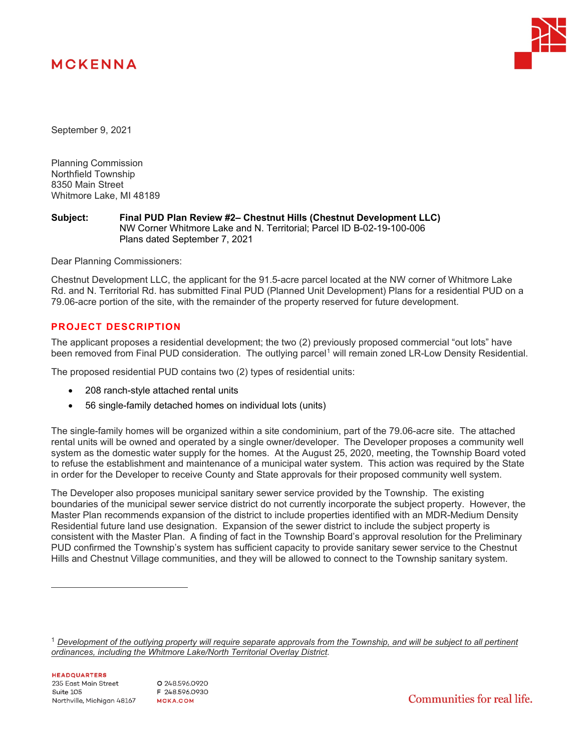# **MCKENNA**



September 9, 2021

Planning Commission Northfield Township 8350 Main Street Whitmore Lake, MI 48189

#### **Subject: Final PUD Plan Review #2– Chestnut Hills (Chestnut Development LLC)** NW Corner Whitmore Lake and N. Territorial; Parcel ID B-02-19-100-006 Plans dated September 7, 2021

Dear Planning Commissioners:

Chestnut Development LLC, the applicant for the 91.5-acre parcel located at the NW corner of Whitmore Lake Rd. and N. Territorial Rd. has submitted Final PUD (Planned Unit Development) Plans for a residential PUD on a 79.06-acre portion of the site, with the remainder of the property reserved for future development.

# **PROJECT DESCRIPTION**

The applicant proposes a residential development; the two (2) previously proposed commercial "out lots" have been removed from Final PUD consideration. The outlying parcel<sup>[1](#page-0-0)</sup> will remain zoned LR-Low Density Residential.

The proposed residential PUD contains two (2) types of residential units:

- 208 ranch-style attached rental units
- 56 single-family detached homes on individual lots (units)

The single-family homes will be organized within a site condominium, part of the 79.06-acre site. The attached rental units will be owned and operated by a single owner/developer. The Developer proposes a community well system as the domestic water supply for the homes. At the August 25, 2020, meeting, the Township Board voted to refuse the establishment and maintenance of a municipal water system. This action was required by the State in order for the Developer to receive County and State approvals for their proposed community well system.

The Developer also proposes municipal sanitary sewer service provided by the Township. The existing boundaries of the municipal sewer service district do not currently incorporate the subject property. However, the Master Plan recommends expansion of the district to include properties identified with an MDR-Medium Density Residential future land use designation. Expansion of the sewer district to include the subject property is consistent with the Master Plan. A finding of fact in the Township Board's approval resolution for the Preliminary PUD confirmed the Township's system has sufficient capacity to provide sanitary sewer service to the Chestnut Hills and Chestnut Village communities, and they will be allowed to connect to the Township sanitary system.

Communities for real life.

<span id="page-0-0"></span><sup>&</sup>lt;sup>1</sup> Development of the outlying property will require separate approvals from the Township, and will be subject to all pertinent *ordinances, including the Whitmore Lake/North Territorial Overlay District.*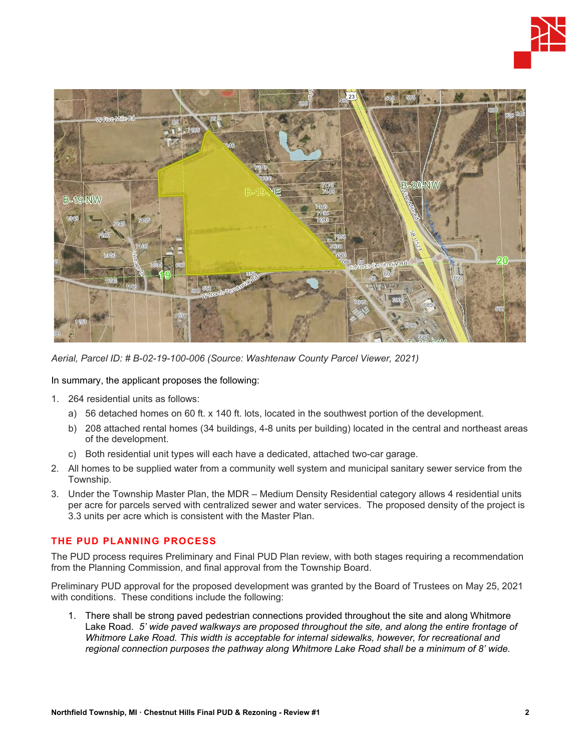



*Aerial, Parcel ID: # B-02-19-100-006 (Source: Washtenaw County Parcel Viewer, 2021)*

In summary, the applicant proposes the following:

- 1. 264 residential units as follows:
	- a) 56 detached homes on 60 ft. x 140 ft. lots, located in the southwest portion of the development.
	- b) 208 attached rental homes (34 buildings, 4-8 units per building) located in the central and northeast areas of the development.
	- c) Both residential unit types will each have a dedicated, attached two-car garage.
- 2. All homes to be supplied water from a community well system and municipal sanitary sewer service from the Township.
- 3. Under the Township Master Plan, the MDR Medium Density Residential category allows 4 residential units per acre for parcels served with centralized sewer and water services. The proposed density of the project is 3.3 units per acre which is consistent with the Master Plan.

## **THE PUD PLANNING PROCESS**

The PUD process requires Preliminary and Final PUD Plan review, with both stages requiring a recommendation from the Planning Commission, and final approval from the Township Board.

Preliminary PUD approval for the proposed development was granted by the Board of Trustees on May 25, 2021 with conditions. These conditions include the following:

1. There shall be strong paved pedestrian connections provided throughout the site and along Whitmore Lake Road. *5' wide paved walkways are proposed throughout the site, and along the entire frontage of Whitmore Lake Road. This width is acceptable for internal sidewalks, however, for recreational and regional connection purposes the pathway along Whitmore Lake Road shall be a minimum of 8' wide.*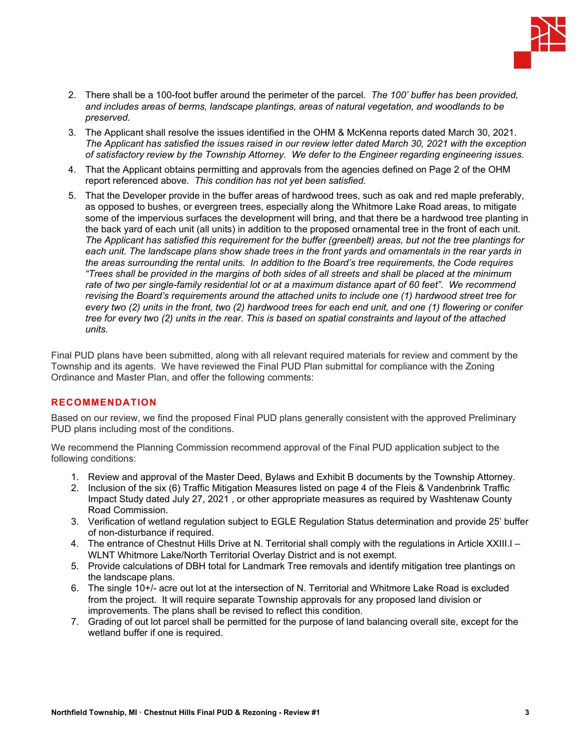

- 2. There shall be a 100-foot buffer around the perimeter of the parcel. *The 100' buffer has been provided, and includes areas of berms, landscape plantings, areas of natural vegetation, and woodlands to be preserved.*
- 3. The Applicant shall resolve the issues identified in the OHM & McKenna reports dated March 30, 2021. *The Applicant has satisfied the issues raised in our review letter dated March 30, 2021 with the exception of satisfactory review by the Township Attorney. We defer to the Engineer regarding engineering issues.*
- 4. That the Applicant obtains permitting and approvals from the agencies defined on Page 2 of the OHM report referenced above. *This condition has not yet been satisfied.*
- 5. That the Developer provide in the buffer areas of hardwood trees, such as oak and red maple preferably, as opposed to bushes, or evergreen trees, especially along the Whitmore Lake Road areas, to mitigate some of the impervious surfaces the development will bring, and that there be a hardwood tree planting in the back yard of each unit (all units) in addition to the proposed ornamental tree in the front of each unit. *The Applicant has satisfied this requirement for the buffer (greenbelt) areas, but not the tree plantings for each unit. The landscape plans show shade trees in the front yards and ornamentals in the rear yards in the areas surrounding the rental units. In addition to the Board's tree requirements, the Code requires "Trees shall be provided in the margins of both sides of all streets and shall be placed at the minimum rate of two per single-family residential lot or at a maximum distance apart of 60 feet". We recommend revising the Board's requirements around the attached units to include one (1) hardwood street tree for every two (2) units in the front, two (2) hardwood trees for each end unit, and one (1) flowering or conifer tree for every two (2) units in the rear. This is based on spatial constraints and layout of the attached units.*

Final PUD plans have been submitted, along with all relevant required materials for review and comment by the Township and its agents. We have reviewed the Final PUD Plan submittal for compliance with the Zoning Ordinance and Master Plan, and offer the following comments:

## **RECOMMENDATION**

Based on our review, we find the proposed Final PUD plans generally consistent with the approved Preliminary PUD plans including most of the conditions.

We recommend the Planning Commission recommend approval of the Final PUD application subject to the following conditions:

- 1. Review and approval of the Master Deed, Bylaws and Exhibit B documents by the Township Attorney.
- 2. Inclusion of the six (6) Traffic Mitigation Measures listed on page 4 of the Fleis & Vandenbrink Traffic Impact Study dated July 27, 2021 , or other appropriate measures as required by Washtenaw County Road Commission.
- 3. Verification of wetland regulation subject to EGLE Regulation Status determination and provide 25' buffer of non-disturbance if required.
- 4. The entrance of Chestnut Hills Drive at N. Territorial shall comply with the regulations in Article XXIII.I WLNT Whitmore Lake/North Territorial Overlay District and is not exempt.
- 5. Provide calculations of DBH total for Landmark Tree removals and identify mitigation tree plantings on the landscape plans.
- 6. The single 10+/- acre out lot at the intersection of N. Territorial and Whitmore Lake Road is excluded from the project. It will require separate Township approvals for any proposed land division or improvements. The plans shall be revised to reflect this condition.
- 7. Grading of out lot parcel shall be permitted for the purpose of land balancing overall site, except for the wetland buffer if one is required.